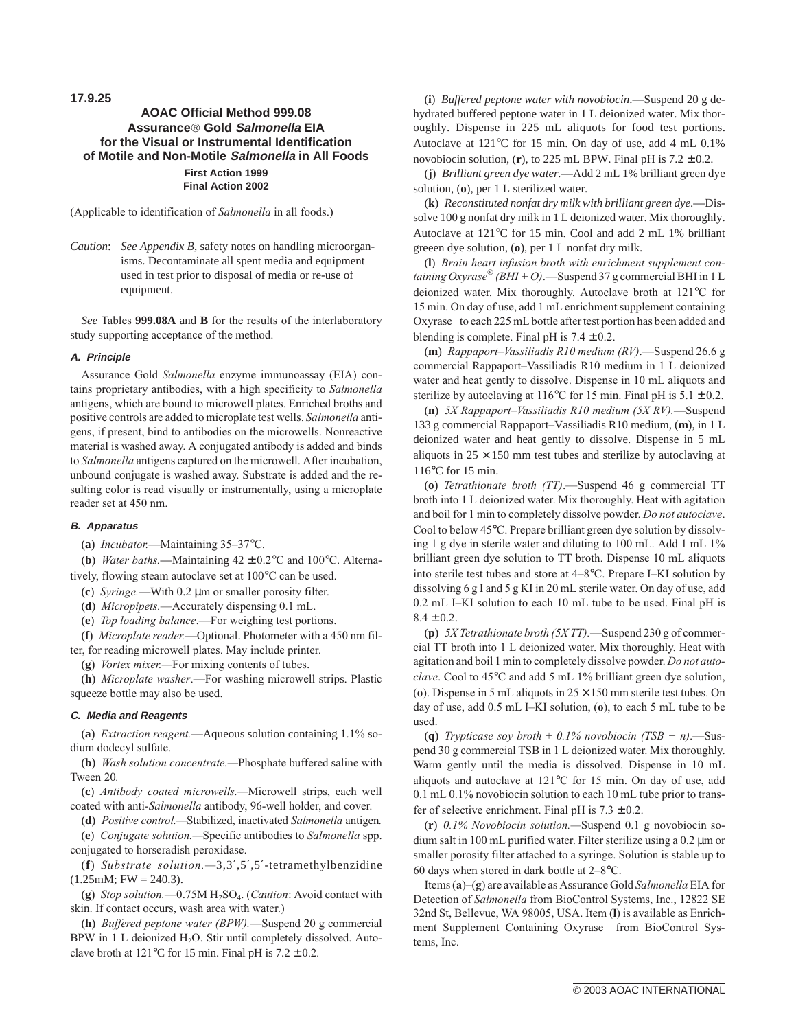**17.9.25**

# **AOAC Official Method 999.08 Assuranceâ Gold Salmonella EIA for the Visual or Instrumental Identification of Motile and Non-Motile Salmonella in All Foods First Action 1999 Final Action 2002**

(Applicable to identification of *Salmonella* in all foods.)

*Caution*: *See Appendix B*, safety notes on handling microorganisms. Decontaminate all spent media and equipment used in test prior to disposal of media or re-use of equipment.

*See* Tables **999.08A** and **B** for the results of the interlaboratory study supporting acceptance of the method.

# **A. Principle**

Assurance Gold *Salmonella* enzyme immunoassay (EIA) contains proprietary antibodies, with a high specificity to *Salmonella* antigens, which are bound to microwell plates. Enriched broths and positive controls are added to microplate test wells. *Salmonella* antigens, if present, bind to antibodies on the microwells. Nonreactive material is washed away. A conjugated antibody is added and binds to *Salmonella* antigens captured on the microwell. After incubation, unbound conjugate is washed away. Substrate is added and the resulting color is read visually or instrumentally, using a microplate reader set at 450 nm.

#### **B. Apparatus**

(**a**) *Incubator.*—Maintaining 35–37°C.

(**b**) *Water baths.*—Maintaining  $42 \pm 0.2$ °C and 100°C. Alterna-

tively, flowing steam autoclave set at 100°C can be used.

(**c**) *Syringe.*—With 0.2 µm or smaller porosity filter.

(**d**) *Micropipets.*—Accurately dispensing 0.1 mL.

(**e**) *Top loading balance*.—For weighing test portions.

(**f**) *Microplate reader.*—Optional. Photometer with a 450 nm filter, for reading microwell plates. May include printer.

(**g**) *Vortex mixer.—*For mixing contents of tubes.

(**h**) *Microplate washer*.—For washing microwell strips. Plastic squeeze bottle may also be used.

#### **C. Media and Reagents**

(**a**) *Extraction reagent.*—Aqueous solution containing 1.1% sodium dodecyl sulfate.

(**b**) *Wash solution concentrate.—*Phosphate buffered saline with Tween 20*.*

(**c**) *Antibody coated microwells.—*Microwell strips, each well coated with anti-*Salmonella* antibody, 96-well holder, and cover.

(**d**) *Positive control.—*Stabilized, inactivated *Salmonella* antigen*.*

(**e**) *Conjugate solution.—*Specific antibodies to *Salmonella* spp. conjugated to horseradish peroxidase.

(**f**) *Substrate solution.—*3,3′,5′,5′-tetramethylbenzidine  $(1.25 \text{mM}; \text{FW} = 240.3).$ 

(g) *Stop solution.*—0.75M H<sub>2</sub>SO<sub>4</sub>. (*Caution*: Avoid contact with skin. If contact occurs, wash area with water.)

(**h**) *Buffered peptone water (BPW).*—Suspend 20 g commercial BPW in 1 L deionized  $H_2O$ . Stir until completely dissolved. Autoclave broth at 121 $\degree$ C for 15 min. Final pH is 7.2  $\pm$  0.2.

(**i**) *Buffered peptone water with novobiocin*.—Suspend 20 g dehydrated buffered peptone water in 1 L deionized water. Mix thoroughly. Dispense in 225 mL aliquots for food test portions. Autoclave at 121°C for 15 min. On day of use, add 4 mL 0.1% novobiocin solution,  $(r)$ , to 225 mL BPW. Final pH is  $7.2 \pm 0.2$ .

(**j**) *Brilliant green dye water.*—Add 2 mL 1% brilliant green dye solution, (**o**), per 1 L sterilized water.

(**k**) *Reconstituted nonfat dry milk with brilliant green dye*.—Dissolve 100 g nonfat dry milk in 1 L deionized water. Mix thoroughly. Autoclave at 121°C for 15 min. Cool and add 2 mL 1% brilliant greeen dye solution, (**o**), per 1 L nonfat dry milk.

(**l**) *Brain heart infusion broth with enrichment supplement containing Oxyrase*<sup>®</sup> *(BHI* + *O)*.—Suspend 37 g commercial BHI in 1 L deionized water. Mix thoroughly. Autoclave broth at 121°C for 15 min. On day of use, add 1 mL enrichment supplement containing Oxyrase<sup>®</sup> to each 225 mL bottle after test portion has been added and blending is complete. Final pH is  $7.4 \pm 0.2$ .

(**m**) *Rappaport–Vassiliadis R10 medium (RV)*.—Suspend 26.6 g commercial Rappaport–Vassiliadis R10 medium in 1 L deionized water and heat gently to dissolve. Dispense in 10 mL aliquots and sterilize by autoclaving at 116°C for 15 min. Final pH is  $5.1 \pm 0.2$ .

(**n**) *5X Rappaport–Vassiliadis R10 medium (5X RV).*—Suspend 133 g commercial Rappaport–Vassiliadis R10 medium, (**m**), in 1 L deionized water and heat gently to dissolve. Dispense in 5 mL aliquots in  $25 \times 150$  mm test tubes and sterilize by autoclaving at 116°C for 15 min.

(**o**) *Tetrathionate broth (TT)*.—Suspend 46 g commercial TT broth into 1 L deionized water. Mix thoroughly. Heat with agitation and boil for 1 min to completely dissolve powder. *Do not autoclave*. Cool to below 45°C. Prepare brilliant green dye solution by dissolving 1 g dye in sterile water and diluting to 100 mL. Add 1 mL 1% brilliant green dye solution to TT broth. Dispense 10 mL aliquots into sterile test tubes and store at 4–8°C. Prepare I–KI solution by dissolving 6 g I and 5 g KI in 20 mL sterile water. On day of use, add 0.2 mL I–KI solution to each 10 mL tube to be used. Final pH is  $8.4 \pm 0.2$ .

(**p**) *5X Tetrathionate broth (5X TT).*—Suspend 230 g of commercial TT broth into 1 L deionized water. Mix thoroughly. Heat with agitation and boil 1 min to completely dissolve powder. *Do not autoclave*. Cool to 45°C and add 5 mL 1% brilliant green dye solution, (**). Dispense in 5 mL aliquots in**  $25 \times 150$  **mm sterile test tubes. On** day of use, add 0.5 mL I–KI solution, (**o**), to each 5 mL tube to be used.

(**q**) *Trypticase soy broth* + *0.1% novobiocin (TSB + n)*.—Suspend 30 g commercial TSB in 1 L deionized water. Mix thoroughly. Warm gently until the media is dissolved. Dispense in 10 mL aliquots and autoclave at 121°C for 15 min. On day of use, add 0.1 mL 0.1% novobiocin solution to each 10 mL tube prior to transfer of selective enrichment. Final pH is  $7.3 \pm 0.2$ .

(**r**) *0.1% Novobiocin solution.—*Suspend 0.1 g novobiocin sodium salt in 100 mL purified water. Filter sterilize using a 0.2 µm or smaller porosity filter attached to a syringe. Solution is stable up to 60 days when stored in dark bottle at 2–8°C.

Items (**a**)–(**g**) are available as Assurance Gold *Salmonella* EIA for Detection of *Salmonella* from BioControl Systems, Inc., 12822 SE 32nd St, Bellevue, WA 98005, USA. Item (**l**) is available as Enrichment Supplement Containing Oxyrase® from BioControl Systems, Inc.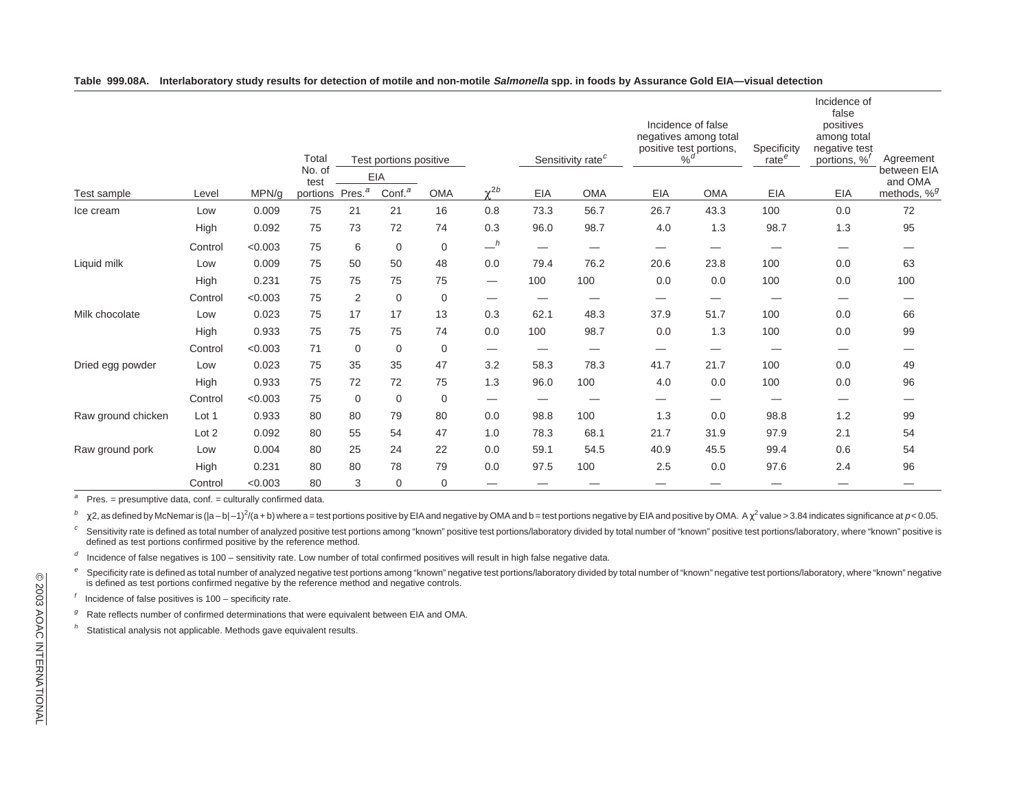|                    |         |         | Total<br>No. of<br>test | Test portions positive |                   |             |                                 | Sensitivity rate <sup>c</sup> |                          | Incidence of false<br>negatives among total<br>positive test portions,<br>$\%$ <sup>d</sup> |                   | Specificity<br>rate <sup>e</sup> | Incidence of<br>false<br>positives<br>among total<br>negative test<br>portions, % <sup>1</sup> | Agreement               |
|--------------------|---------|---------|-------------------------|------------------------|-------------------|-------------|---------------------------------|-------------------------------|--------------------------|---------------------------------------------------------------------------------------------|-------------------|----------------------------------|------------------------------------------------------------------------------------------------|-------------------------|
|                    |         |         |                         |                        | EIA               |             |                                 |                               |                          |                                                                                             |                   |                                  |                                                                                                | between EIA<br>and OMA  |
| Test sample        | Level   | MPN/a   | portions                | Pres. <sup>a</sup>     | Conf <sup>a</sup> | <b>OMA</b>  | $v^{2b}$                        | EIA                           | <b>OMA</b>               | EIA                                                                                         | <b>OMA</b>        | EIA                              | EIA                                                                                            | methods, % <sup>g</sup> |
| Ice cream          | Low     | 0.009   | 75                      | 21                     | 21                | 16          | 0.8                             | 73.3                          | 56.7                     | 26.7                                                                                        | 43.3              | 100                              | 0.0                                                                                            | 72                      |
|                    | High    | 0.092   | 75                      | 73                     | 72                | 74          | 0.3                             | 96.0                          | 98.7                     | 4.0                                                                                         | 1.3               | 98.7                             | 1.3                                                                                            | 95                      |
|                    | Control | < 0.003 | 75                      | 6                      | $\mathbf 0$       | $\mathbf 0$ | $-$ <sup>h</sup>                | —                             | —                        | —                                                                                           | --                |                                  |                                                                                                | —                       |
| Liquid milk        | Low     | 0.009   | 75                      | 50                     | 50                | 48          | 0.0                             | 79.4                          | 76.2                     | 20.6                                                                                        | 23.8              | 100                              | 0.0                                                                                            | 63                      |
|                    | High    | 0.231   | 75                      | 75                     | 75                | 75          | $\hspace{0.1mm}-\hspace{0.1mm}$ | 100                           | 100                      | 0.0                                                                                         | 0.0               | 100                              | 0.0                                                                                            | 100                     |
|                    | Control | < 0.003 | 75                      | $\overline{2}$         | $\mathbf 0$       | $\mathbf 0$ |                                 | –                             |                          | —                                                                                           | —                 |                                  |                                                                                                | –                       |
| Milk chocolate     | Low     | 0.023   | 75                      | 17                     | 17                | 13          | 0.3                             | 62.1                          | 48.3                     | 37.9                                                                                        | 51.7              | 100                              | 0.0                                                                                            | 66                      |
|                    | High    | 0.933   | 75                      | 75                     | 75                | 74          | 0.0                             | 100                           | 98.7                     | 0.0                                                                                         | 1.3               | 100                              | 0.0                                                                                            | 99                      |
|                    | Control | < 0.003 | 71                      | $\mathbf 0$            | $\mathbf 0$       | $\mathbf 0$ | $\hspace{0.1mm}-\hspace{0.1mm}$ |                               | $\overline{\phantom{0}}$ |                                                                                             | $\hspace{0.05cm}$ |                                  |                                                                                                |                         |
| Dried egg powder   | Low     | 0.023   | 75                      | 35                     | 35                | 47          | 3.2                             | 58.3                          | 78.3                     | 41.7                                                                                        | 21.7              | 100                              | 0.0                                                                                            | 49                      |
|                    | High    | 0.933   | 75                      | 72                     | 72                | 75          | 1.3                             | 96.0                          | 100                      | 4.0                                                                                         | 0.0               | 100                              | 0.0                                                                                            | 96                      |
|                    | Control | < 0.003 | 75                      | $\mathbf 0$            | $\mathbf 0$       | $\mathbf 0$ | $\hspace{0.1mm}-\hspace{0.1mm}$ | —                             |                          | —                                                                                           | —                 | --                               |                                                                                                | –                       |
| Raw ground chicken | Lot 1   | 0.933   | 80                      | 80                     | 79                | 80          | 0.0                             | 98.8                          | 100                      | 1.3                                                                                         | 0.0               | 98.8                             | 1.2                                                                                            | 99                      |
|                    | Lot 2   | 0.092   | 80                      | 55                     | 54                | 47          | 1.0                             | 78.3                          | 68.1                     | 21.7                                                                                        | 31.9              | 97.9                             | 2.1                                                                                            | 54                      |
| Raw ground pork    | Low     | 0.004   | 80                      | 25                     | 24                | 22          | 0.0                             | 59.1                          | 54.5                     | 40.9                                                                                        | 45.5              | 99.4                             | 0.6                                                                                            | 54                      |
|                    | High    | 0.231   | 80                      | 80                     | 78                | 79          | 0.0                             | 97.5                          | 100                      | 2.5                                                                                         | 0.0               | 97.6                             | 2.4                                                                                            | 96                      |
|                    | Control | < 0.003 | 80                      | 3                      | $\mathbf 0$       | 0           |                                 |                               |                          |                                                                                             |                   |                                  |                                                                                                |                         |

### Table 999.08A. Interlaboratory study results for detection of motile and non-motile Salmonella spp. in foods by Assurance Gold EIA-visual detection

aPres. <sup>=</sup> presumptive data, conf. <sup>=</sup> culturally confirmed data.

b $\chi$ 2, as defined by McNemar is ( $|a-b|-1)^2$ ( $a+b$ ) where a = test portions positive by EIA and negative by OMA and b = test portions negative by EIA and positive by OMA. A  $\chi^2$  value > 3.84 indicates significance at p < 0

 $\boldsymbol{c}$ ° Sensitivity rate is defined as total number of analyzed positive test portions among "known" positive test portions/laboratory divided by total number of "known" positive test portions/laboratory, where "known" positive

dIncidence of false negatives is 100 – sensitivity rate. Low number of total confirmed positives will result in high false negative data.

e $e$  Specificity rate is defined as total number of analyzed negative test portions among "known" negative test portions/laboratory divided by total number of "known" negative test portions/laboratory, where "known" negativ is defined as test portions confirmed negative by the reference method and negative controls.

Incidence of false positives is 100 – specificity rate.

 $g$  Rate reflects number of confirmed determinations that were equivalent between EIA and OMA.

hStatistical analysis not applicable. Methods gave equivalent results.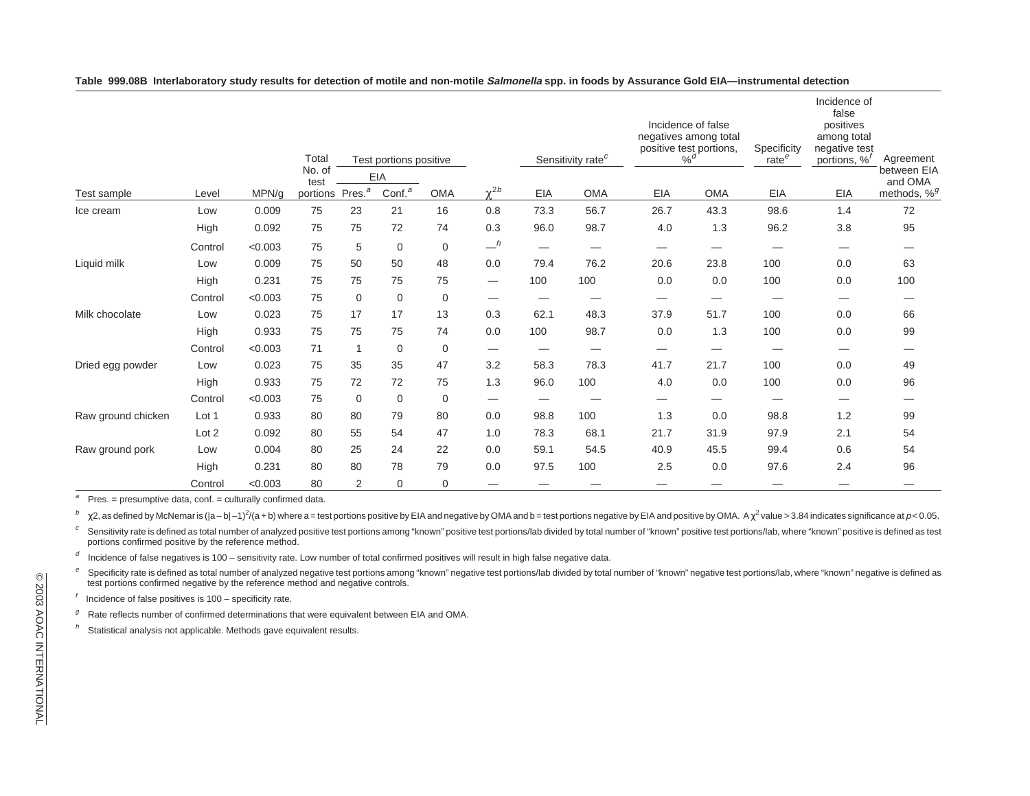|                    |         |         | Total<br>No. of<br>test | Test portions positive |                    |            |                                 | Sensitivity rate <sup>c</sup> |            | Incidence of false<br>negatives among total<br>positive test portions,<br>$\%$ <sup>d</sup> |            | Specificity<br>rate <sup>e</sup> | Incidence of<br>false<br>positives<br>among total<br>negative test<br>portions, % <sup>t</sup> | Agreement               |
|--------------------|---------|---------|-------------------------|------------------------|--------------------|------------|---------------------------------|-------------------------------|------------|---------------------------------------------------------------------------------------------|------------|----------------------------------|------------------------------------------------------------------------------------------------|-------------------------|
|                    |         |         |                         |                        | EIA                |            | $v^{2b}$                        |                               |            |                                                                                             |            |                                  |                                                                                                | between EIA<br>and OMA  |
| Test sample        | Level   | MPN/a   | portions                | Pres. <sup>a</sup>     | Conf. <sup>a</sup> | <b>OMA</b> |                                 | EIA                           | <b>OMA</b> | EIA                                                                                         | <b>OMA</b> | EIA                              | <b>EIA</b>                                                                                     | methods, % <sup>g</sup> |
| Ice cream          | Low     | 0.009   | 75                      | 23                     | 21                 | 16         | 0.8                             | 73.3                          | 56.7       | 26.7                                                                                        | 43.3       | 98.6                             | 1.4                                                                                            | 72                      |
|                    | High    | 0.092   | 75                      | 75                     | 72                 | 74         | 0.3                             | 96.0                          | 98.7       | 4.0                                                                                         | 1.3        | 96.2                             | 3.8                                                                                            | 95                      |
|                    | Control | < 0.003 | 75                      | 5                      | $\mathbf 0$        | 0          | $-$ <sup>h</sup>                |                               | —          | —                                                                                           | —          |                                  | $\overbrace{\phantom{123221111}}$                                                              | —                       |
| Liquid milk        | Low     | 0.009   | 75                      | 50                     | 50                 | 48         | 0.0                             | 79.4                          | 76.2       | 20.6                                                                                        | 23.8       | 100                              | 0.0                                                                                            | 63                      |
|                    | High    | 0.231   | 75                      | 75                     | 75                 | 75         | $\hspace{0.1mm}-\hspace{0.1mm}$ | 100                           | 100        | 0.0                                                                                         | 0.0        | 100                              | 0.0                                                                                            | 100                     |
|                    | Control | < 0.003 | 75                      | $\mathbf 0$            | $\mathbf 0$        | 0          |                                 |                               |            |                                                                                             |            |                                  | —                                                                                              |                         |
| Milk chocolate     | Low     | 0.023   | 75                      | 17                     | 17                 | 13         | 0.3                             | 62.1                          | 48.3       | 37.9                                                                                        | 51.7       | 100                              | 0.0                                                                                            | 66                      |
|                    | High    | 0.933   | 75                      | 75                     | 75                 | 74         | 0.0                             | 100                           | 98.7       | 0.0                                                                                         | 1.3        | 100                              | 0.0                                                                                            | 99                      |
|                    | Control | < 0.003 | 71                      | $\mathbf{1}$           | $\mathbf 0$        | 0          |                                 |                               | —          | $\overline{\phantom{0}}$                                                                    |            |                                  | -                                                                                              | _                       |
| Dried egg powder   | Low     | 0.023   | 75                      | 35                     | 35                 | 47         | 3.2                             | 58.3                          | 78.3       | 41.7                                                                                        | 21.7       | 100                              | 0.0                                                                                            | 49                      |
|                    | High    | 0.933   | 75                      | 72                     | 72                 | 75         | 1.3                             | 96.0                          | 100        | 4.0                                                                                         | 0.0        | 100                              | 0.0                                                                                            | 96                      |
|                    | Control | < 0.003 | 75                      | $\mathbf 0$            | $\mathbf 0$        | 0          |                                 | $\overline{\phantom{0}}$      |            |                                                                                             |            |                                  |                                                                                                |                         |
| Raw ground chicken | Lot 1   | 0.933   | 80                      | 80                     | 79                 | 80         | 0.0                             | 98.8                          | 100        | 1.3                                                                                         | 0.0        | 98.8                             | 1.2                                                                                            | 99                      |
|                    | Lot 2   | 0.092   | 80                      | 55                     | 54                 | 47         | 1.0                             | 78.3                          | 68.1       | 21.7                                                                                        | 31.9       | 97.9                             | 2.1                                                                                            | 54                      |
| Raw ground pork    | Low     | 0.004   | 80                      | 25                     | 24                 | 22         | 0.0                             | 59.1                          | 54.5       | 40.9                                                                                        | 45.5       | 99.4                             | 0.6                                                                                            | 54                      |
|                    | High    | 0.231   | 80                      | 80                     | 78                 | 79         | 0.0                             | 97.5                          | 100        | 2.5                                                                                         | 0.0        | 97.6                             | 2.4                                                                                            | 96                      |
|                    | Control | < 0.003 | 80                      | $\overline{2}$         | $\mathbf 0$        | 0          |                                 |                               |            |                                                                                             |            |                                  |                                                                                                |                         |

Table 999.08B Interlaboratory study results for detection of motile and non-motile Salmonella spp. in foods by Assurance Gold EIA-instrumental detection

aPres. <sup>=</sup> presumptive data, conf. <sup>=</sup> culturally confirmed data.

b $\chi$ 2, as defined by McNemar is (|a – b| –1)<sup>2</sup>/(a + b) where a = test portions positive by EIA and negative by OMA and b = test portions negative by EIA and positive by OMA. A  $\chi^2$  value > 3.84 indicates significance a

 $\boldsymbol{c}$ Sensitivity rate is defined as total number of analyzed positive test portions among "known" positive test portions/lab divided by total number of "known" positive test portions/lab, where "known" positive is defined as te portions confirmed positive by the reference method.

dIncidence of false negatives is 100 – sensitivity rate. Low number of total confirmed positives will result in high false negative data.

e $^e$  Specificity rate is defined as total number of analyzed negative test portions among "known" negative test portions/lab divided by total number of "known" negative test portions/lab, where "known" negative is defined test portions confirmed negative by the reference method and negative controls.

Incidence of false positives is 100 – specificity rate.

 $g$  Rate reflects number of confirmed determinations that were equivalent between EIA and OMA.

hStatistical analysis not applicable. Methods gave equivalent results.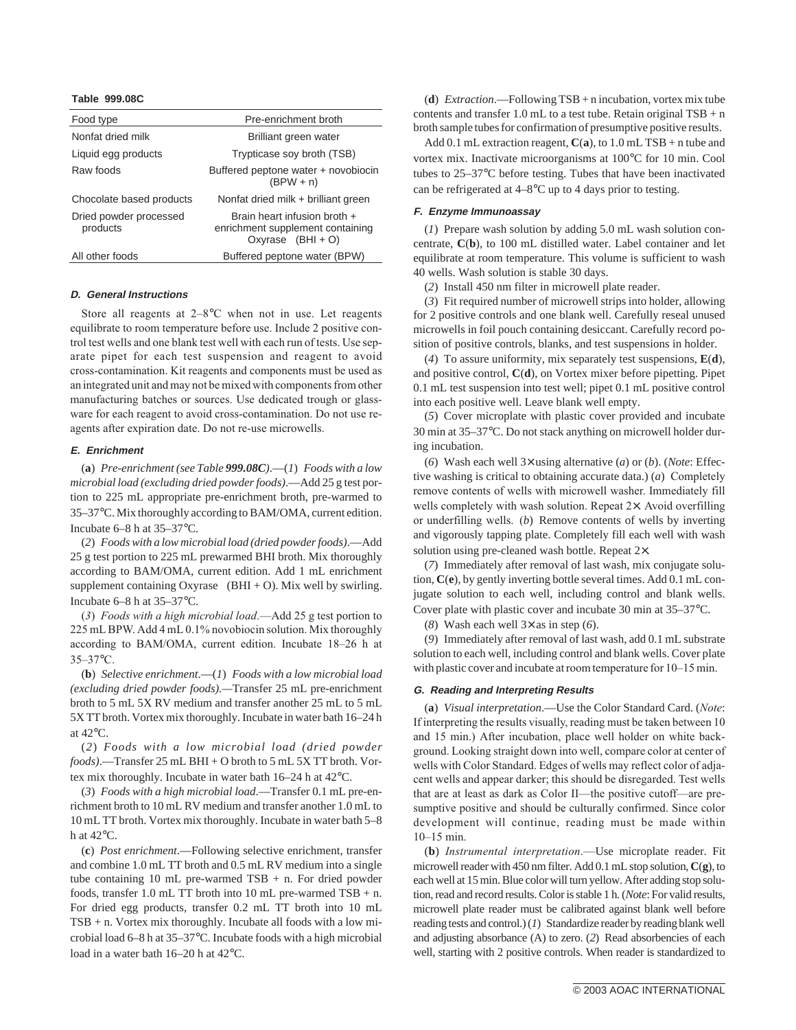#### **Table 999.08C**

| Food type                          | Pre-enrichment broth                                                                               |  |  |  |  |
|------------------------------------|----------------------------------------------------------------------------------------------------|--|--|--|--|
| Nonfat dried milk                  | Brilliant green water                                                                              |  |  |  |  |
| Liquid egg products                | Trypticase soy broth (TSB)                                                                         |  |  |  |  |
| Raw foods                          | Buffered peptone water + novobiocin<br>$(BPW + n)$                                                 |  |  |  |  |
| Chocolate based products           | Nonfat dried milk + brilliant green                                                                |  |  |  |  |
| Dried powder processed<br>products | Brain heart infusion broth +<br>enrichment supplement containing<br>Oxyrase <sup>®</sup> (BHI + O) |  |  |  |  |
| All other foods                    | Buffered peptone water (BPW)                                                                       |  |  |  |  |

#### **D. General Instructions**

Store all reagents at 2–8°C when not in use. Let reagents equilibrate to room temperature before use. Include 2 positive control test wells and one blank test well with each run of tests. Use separate pipet for each test suspension and reagent to avoid cross-contamination. Kit reagents and components must be used as an integrated unit and may not be mixed with components from other manufacturing batches or sources. Use dedicated trough or glassware for each reagent to avoid cross-contamination. Do not use reagents after expiration date. Do not re-use microwells.

# **E. Enrichment**

(**a**) *Pre-enrichment (see Table 999.08C)*.—(*1*) *Foods with a low microbial load (excluding dried powder foods)*.—Add 25 g test portion to 225 mL appropriate pre-enrichment broth, pre-warmed to 35–37°C. Mix thoroughly according to BAM/OMA, current edition. Incubate 6–8 h at 35–37°C.

(*2*) *Foods with a low microbial load (dried powder foods)*.—Add 25 g test portion to 225 mL prewarmed BHI broth. Mix thoroughly according to BAM/OMA, current edition. Add 1 mL enrichment supplement containing Oxyrase<sup>®</sup> (BHI + O). Mix well by swirling. Incubate 6–8 h at 35–37°C.

(*3*) *Foods with a high microbial load*.—Add 25 g test portion to 225 mL BPW. Add 4 mL 0.1% novobiocin solution. Mix thoroughly according to BAM/OMA, current edition. Incubate 18–26 h at 35–37°C.

(**b**) *Selective enrichment*.—(*1*) *Foods with a low microbial load (excluding dried powder foods).—*Transfer 25 mL pre-enrichment broth to 5 mL 5X RV medium and transfer another 25 mL to 5 mL 5X TT broth. Vortex mix thoroughly. Incubate in water bath 16–24 h at 42°C.

(*2*) *Foods with a low microbial load (dried powder foods)*.—Transfer 25 mL BHI + O broth to 5 mL 5X TT broth. Vortex mix thoroughly. Incubate in water bath 16–24 h at 42°C.

(*3*) *Foods with a high microbial load*.—Transfer 0.1 mL pre-enrichment broth to 10 mL RV medium and transfer another 1.0 mL to 10 mL TT broth. Vortex mix thoroughly. Incubate in water bath 5–8 h at 42°C.

(**c**) *Post enrichment*.—Following selective enrichment, transfer and combine 1.0 mL TT broth and 0.5 mL RV medium into a single tube containing 10 mL pre-warmed TSB + n. For dried powder foods, transfer 1.0 mL TT broth into 10 mL pre-warmed TSB + n. For dried egg products, transfer 0.2 mL TT broth into 10 mL TSB + n. Vortex mix thoroughly. Incubate all foods with a low microbial load 6–8 h at 35–37°C. Incubate foods with a high microbial load in a water bath 16–20 h at 42°C.

(**d**) *Extraction*.—Following TSB + n incubation, vortex mix tube contents and transfer 1.0 mL to a test tube. Retain original  $TSB + n$ broth sample tubes for confirmation of presumptive positive results.

Add 0.1 mL extraction reagent,  $C(a)$ , to 1.0 mL TSB + n tube and vortex mix. Inactivate microorganisms at 100°C for 10 min. Cool tubes to 25–37°C before testing. Tubes that have been inactivated can be refrigerated at 4–8°C up to 4 days prior to testing.

### **F. Enzyme Immunoassay**

(*1*) Prepare wash solution by adding 5.0 mL wash solution concentrate, **C**(**b**), to 100 mL distilled water. Label container and let equilibrate at room temperature. This volume is sufficient to wash 40 wells. Wash solution is stable 30 days.

(*2*) Install 450 nm filter in microwell plate reader.

(*3*) Fit required number of microwell strips into holder, allowing for 2 positive controls and one blank well. Carefully reseal unused microwells in foil pouch containing desiccant. Carefully record position of positive controls, blanks, and test suspensions in holder.

(*4*) To assure uniformity, mix separately test suspensions, **E**(**d**), and positive control, **C**(**d**), on Vortex mixer before pipetting. Pipet 0.1 mL test suspension into test well; pipet 0.1 mL positive control into each positive well. Leave blank well empty.

(*5*) Cover microplate with plastic cover provided and incubate 30 min at 35–37°C. Do not stack anything on microwell holder during incubation.

(*6*) Wash each well 3× using alternative (*a*) or (*b*). (*Note*: Effective washing is critical to obtaining accurate data.) (*a*) Completely remove contents of wells with microwell washer. Immediately fill wells completely with wash solution. Repeat 2×. Avoid overfilling or underfilling wells. (*b*) Remove contents of wells by inverting and vigorously tapping plate. Completely fill each well with wash solution using pre-cleaned wash bottle. Repeat 2×.

(*7*) Immediately after removal of last wash, mix conjugate solution, **C**(**e**), by gently inverting bottle several times. Add 0.1 mL conjugate solution to each well, including control and blank wells. Cover plate with plastic cover and incubate 30 min at 35–37°C.

(*8*) Wash each well 3× as in step (*6*).

(*9*) Immediately after removal of last wash, add 0.1 mL substrate solution to each well, including control and blank wells. Cover plate with plastic cover and incubate at room temperature for 10–15 min.

#### **G. Reading and Interpreting Results**

(**a**) *Visual interpretation*.—Use the Color Standard Card. (*Note*: If interpreting the results visually, reading must be taken between 10 and 15 min.) After incubation, place well holder on white background. Looking straight down into well, compare color at center of wells with Color Standard. Edges of wells may reflect color of adjacent wells and appear darker; this should be disregarded. Test wells that are at least as dark as Color II—the positive cutoff—are presumptive positive and should be culturally confirmed. Since color development will continue, reading must be made within 10–15 min.

(**b**) *Instrumental interpretation*.—Use microplate reader. Fit microwell reader with 450 nm filter. Add 0.1 mL stop solution, **C**(**g**), to each well at 15 min. Blue color will turn yellow. After adding stop solution, read and record results. Color is stable 1 h. (*Note*: For valid results, microwell plate reader must be calibrated against blank well before reading tests and control.) (*1*) Standardize reader by reading blank well and adjusting absorbance (A) to zero. (*2*) Read absorbencies of each well, starting with 2 positive controls. When reader is standardized to